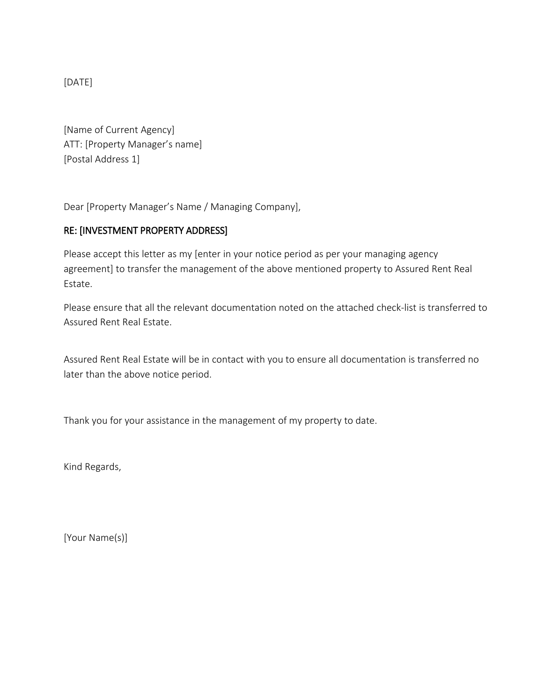[DATE]

[Name of Current Agency] ATT: [Property Manager's name] [Postal Address 1]

Dear [Property Manager's Name / Managing Company],

## RE: [INVESTMENT PROPERTY ADDRESS]

Please accept this letter as my [enter in your notice period as per your managing agency agreement] to transfer the management of the above mentioned property to Assured Rent Real Estate.

Please ensure that all the relevant documentation noted on the attached check-list is transferred to Assured Rent Real Estate.

Assured Rent Real Estate will be in contact with you to ensure all documentation is transferred no later than the above notice period.

Thank you for your assistance in the management of my property to date.

Kind Regards,

[Your Name(s)]